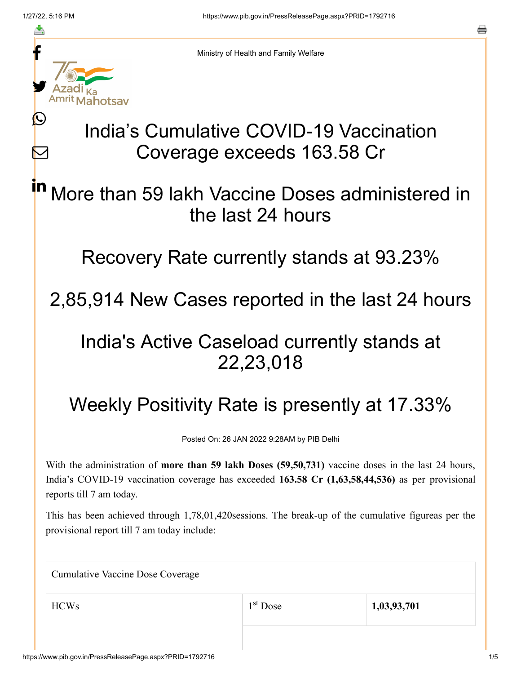≛

Ŀ

 $\bm{\nabla}$ 



Ministry of Health and Family Welfare

# India's Cumulative COVID-19 Vaccination Coverage exceeds 163.58 Cr

#### More than 59 lakh Vaccine Doses administered in the last 24 hours in

### Recovery Rate currently stands at 93.23%

## 2,85,914 New Cases reported in the last 24 hours

### India's Active Caseload currently stands at 22,23,018

# Weekly Positivity Rate is presently at 17.33%

Posted On: 26 JAN 2022 9:28AM by PIB Delhi

With the administration of **more than 59 lakh Doses (59,50,731)** vaccine doses in the last 24 hours, India's COVID-19 vaccination coverage has exceeded **163.58 Cr (1,63,58,44,536)** as per provisional reports till 7 am today.

This has been achieved through 1,78,01,420sessions. The break-up of the cumulative figureas per the provisional report till 7 am today include:

| <b>Cumulative Vaccine Dose Coverage</b> |            |             |  |
|-----------------------------------------|------------|-------------|--|
| <b>HCWs</b>                             | $1st$ Dose | 1,03,93,701 |  |
|                                         |            |             |  |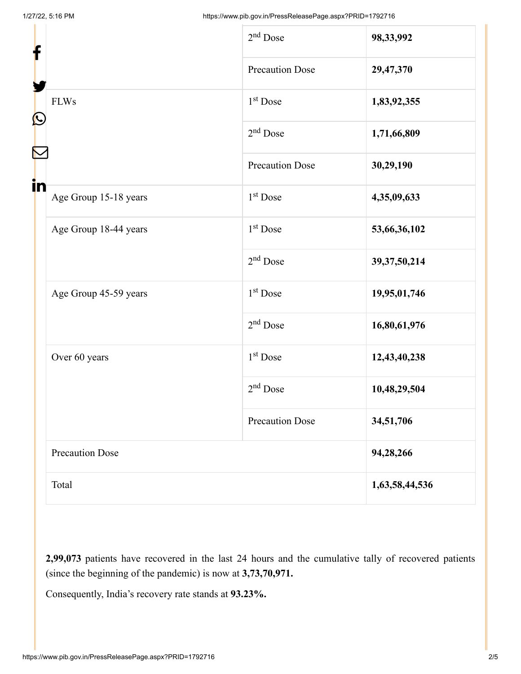|       |                                  | $2nd$ Dose             | 98,33,992       |
|-------|----------------------------------|------------------------|-----------------|
|       |                                  | <b>Precaution Dose</b> | 29,47,370       |
|       | <b>FLWs</b><br>$\mathbf{\Omega}$ | $1st$ Dose             | 1,83,92,355     |
|       |                                  | $2nd$ Dose             | 1,71,66,809     |
|       |                                  | <b>Precaution Dose</b> | 30,29,190       |
| in    | Age Group 15-18 years            | 1 <sup>st</sup> Dose   | 4,35,09,633     |
|       | Age Group 18-44 years            | 1 <sup>st</sup> Dose   | 53,66,36,102    |
|       |                                  | $2nd$ Dose             | 39, 37, 50, 214 |
|       | Age Group 45-59 years            | 1 <sup>st</sup> Dose   | 19,95,01,746    |
|       |                                  | $2nd$ Dose             | 16,80,61,976    |
|       | Over 60 years                    | 1 <sup>st</sup> Dose   | 12,43,40,238    |
|       |                                  | $2nd$ Dose             | 10,48,29,504    |
|       |                                  | <b>Precaution Dose</b> | 34,51,706       |
|       | <b>Precaution Dose</b>           |                        | 94,28,266       |
| Total |                                  |                        | 1,63,58,44,536  |

**2,99,073** patients have recovered in the last 24 hours and the cumulative tally of recovered patients (since the beginning of the pandemic) is now at **3,73,70,971.**

Consequently, India's recovery rate stands at **93.23%.**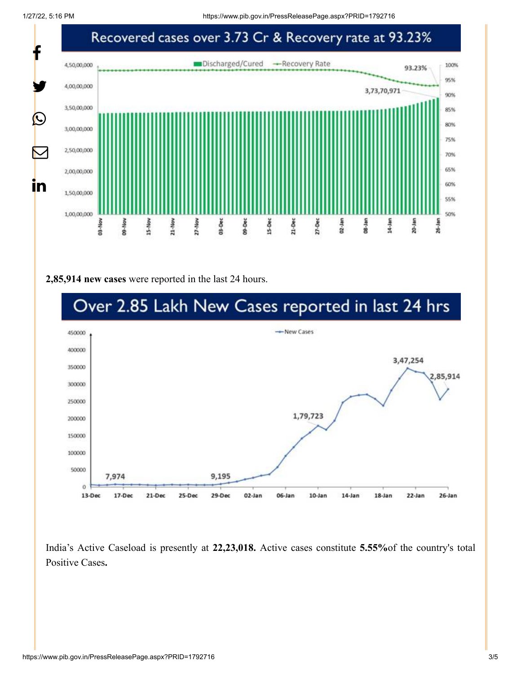1/27/22, 5:16 PM https://www.pib.gov.in/PressReleasePage.aspx?PRID=1792716



#### **2,85,914 new cases** were reported in the last 24 hours.



India's Active Caseload is presently at **22,23,018.** Active cases constitute **5.55%**of the country's total Positive Cases**.**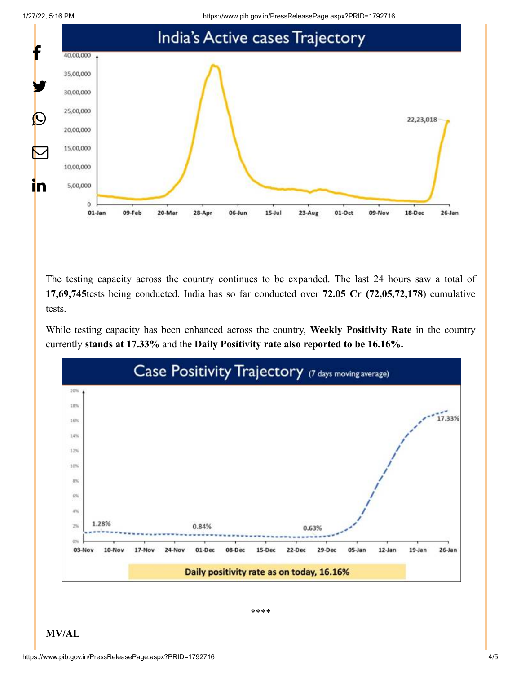1/27/22, 5:16 PM https://www.pib.gov.in/PressReleasePage.aspx?PRID=1792716



The testing capacity across the country continues to be expanded. The last 24 hours saw a total of **17,69,745**tests being conducted. India has so far conducted over **72.05 Cr (72,05,72,178**) cumulative tests.

While testing capacity has been enhanced across the country, **Weekly Positivity Rate** in the country currently **stands at 17.33%** and the **Daily Positivity rate also reported to be 16.16%.**



\*\*\*\*

**MV/AL**